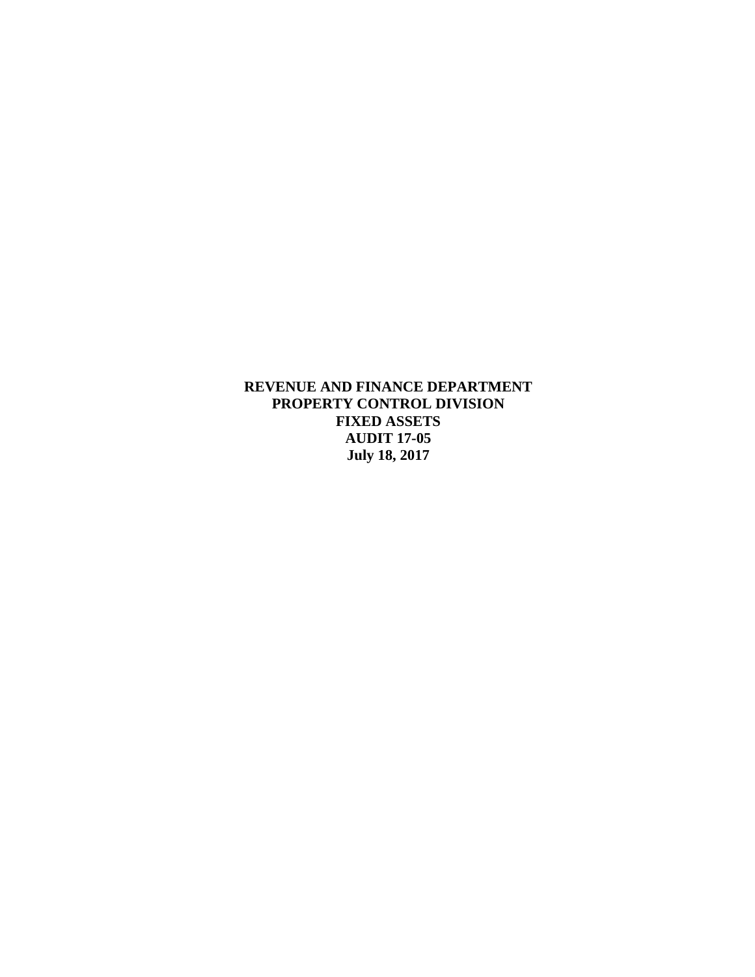**REVENUE AND FINANCE DEPARTMENT PROPERTY CONTROL DIVISION FIXED ASSETS AUDIT 17-05 July 18, 2017**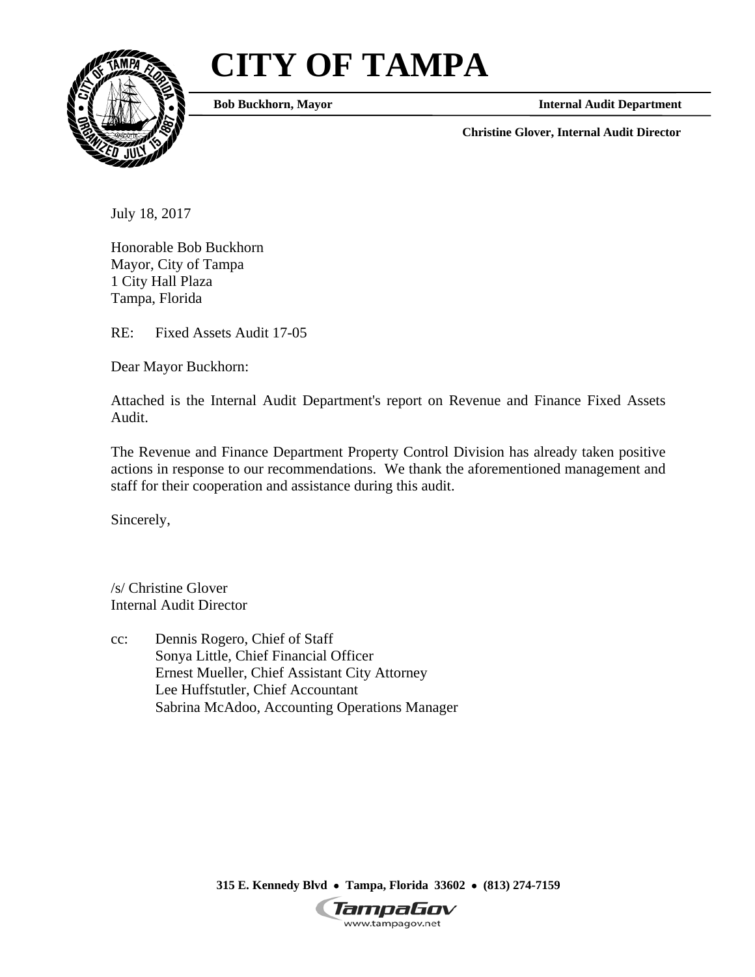# **CITY OF TAMPA**



**Bob Buckhorn, Mayor State Audit Department Internal Audit Department** 

**Christine Glover, Internal Audit Director** 

July 18, 2017

Honorable Bob Buckhorn Mayor, City of Tampa 1 City Hall Plaza Tampa, Florida

RE: Fixed Assets Audit 17-05

Dear Mayor Buckhorn:

Attached is the Internal Audit Department's report on Revenue and Finance Fixed Assets Audit.

The Revenue and Finance Department Property Control Division has already taken positive actions in response to our recommendations. We thank the aforementioned management and staff for their cooperation and assistance during this audit.

Sincerely,

/s/ Christine Glover Internal Audit Director

cc: Dennis Rogero, Chief of Staff Sonya Little, Chief Financial Officer Ernest Mueller, Chief Assistant City Attorney Lee Huffstutler, Chief Accountant Sabrina McAdoo, Accounting Operations Manager

 **315 E. Kennedy Blvd Tampa, Florida 33602 (813) 274-7159** 

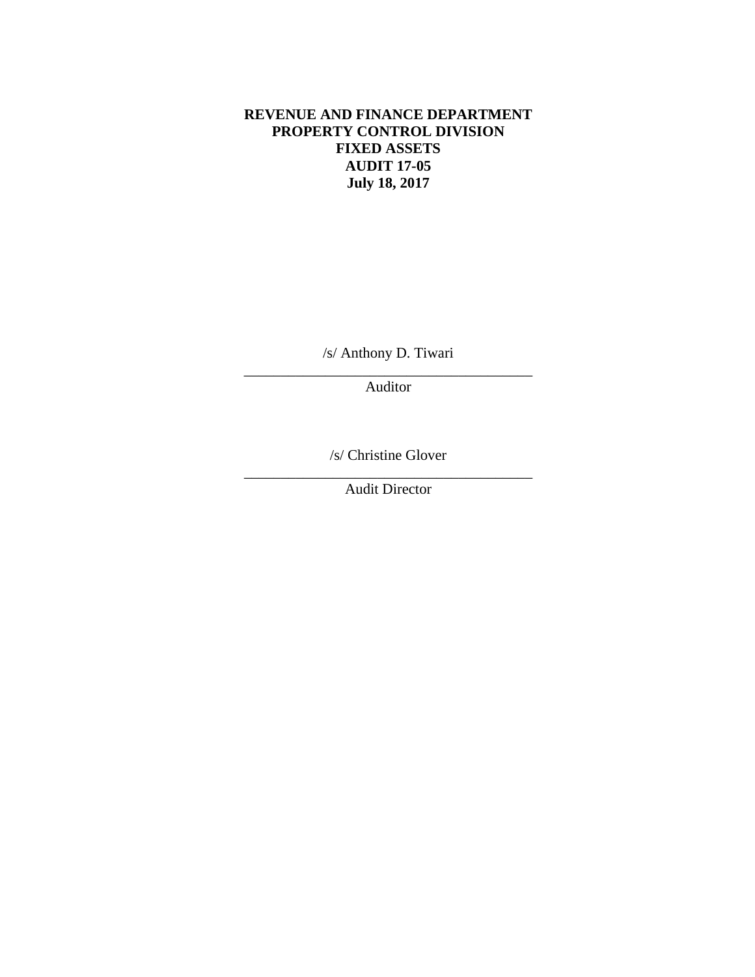# **REVENUE AND FINANCE DEPARTMENT PROPERTY CONTROL DIVISION FIXED ASSETS AUDIT 17-05 July 18, 2017**

\_\_\_\_\_\_\_\_\_\_\_\_\_\_\_\_\_\_\_\_\_\_\_\_\_\_\_\_\_\_\_\_\_\_\_\_\_\_\_ /s/ Anthony D. Tiwari

Auditor

\_\_\_\_\_\_\_\_\_\_\_\_\_\_\_\_\_\_\_\_\_\_\_\_\_\_\_\_\_\_\_\_\_\_\_\_\_\_\_ /s/ Christine Glover

Audit Director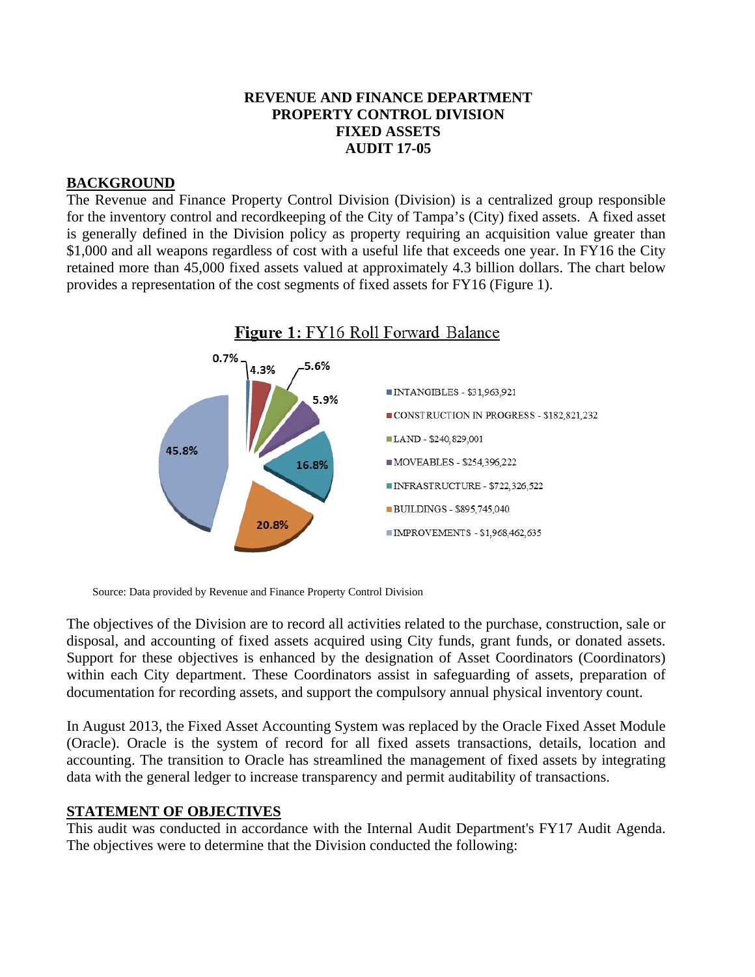### **REVENUE AND FINANCE DEPARTMENT PROPERTY CONTROL DIVISION FIXED ASSETS AUDIT 17-05**

# **BACKGROUND**

The Revenue and Finance Property Control Division (Division) is a centralized group responsible for the inventory control and recordkeeping of the City of Tampa's (City) fixed assets. A fixed asset is generally defined in the Division policy as property requiring an acquisition value greater than \$1,000 and all weapons regardless of cost with a useful life that exceeds one year. In FY16 the City retained more than 45,000 fixed assets valued at approximately 4.3 billion dollars. The chart below provides a representation of the cost segments of fixed assets for FY16 (Figure 1).



Source: Data provided by Revenue and Finance Property Control Division

The objectives of the Division are to record all activities related to the purchase, construction, sale or disposal, and accounting of fixed assets acquired using City funds, grant funds, or donated assets. Support for these objectives is enhanced by the designation of Asset Coordinators (Coordinators) within each City department. These Coordinators assist in safeguarding of assets, preparation of documentation for recording assets, and support the compulsory annual physical inventory count.

In August 2013, the Fixed Asset Accounting System was replaced by the Oracle Fixed Asset Module (Oracle). Oracle is the system of record for all fixed assets transactions, details, location and accounting. The transition to Oracle has streamlined the management of fixed assets by integrating data with the general ledger to increase transparency and permit auditability of transactions.

# **STATEMENT OF OBJECTIVES**

This audit was conducted in accordance with the Internal Audit Department's FY17 Audit Agenda. The objectives were to determine that the Division conducted the following: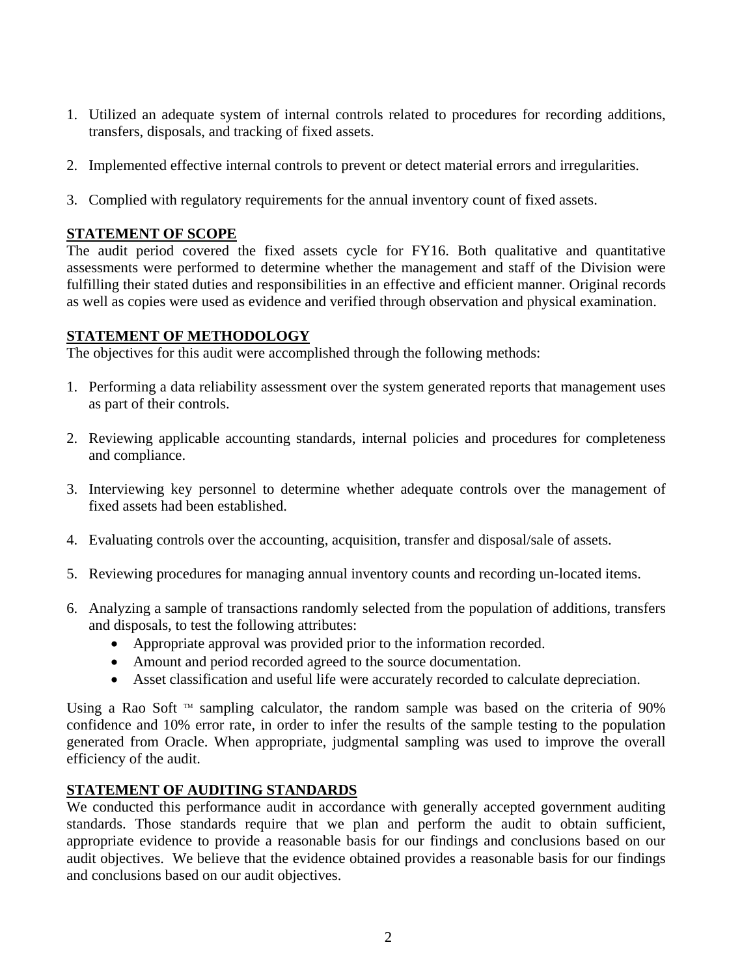- 1. Utilized an adequate system of internal controls related to procedures for recording additions, transfers, disposals, and tracking of fixed assets.
- 2. Implemented effective internal controls to prevent or detect material errors and irregularities.
- 3. Complied with regulatory requirements for the annual inventory count of fixed assets.

# **STATEMENT OF SCOPE**

The audit period covered the fixed assets cycle for FY16. Both qualitative and quantitative assessments were performed to determine whether the management and staff of the Division were fulfilling their stated duties and responsibilities in an effective and efficient manner. Original records as well as copies were used as evidence and verified through observation and physical examination.

# **STATEMENT OF METHODOLOGY**

The objectives for this audit were accomplished through the following methods:

- 1. Performing a data reliability assessment over the system generated reports that management uses as part of their controls.
- 2. Reviewing applicable accounting standards, internal policies and procedures for completeness and compliance.
- 3. Interviewing key personnel to determine whether adequate controls over the management of fixed assets had been established.
- 4. Evaluating controls over the accounting, acquisition, transfer and disposal/sale of assets.
- 5. Reviewing procedures for managing annual inventory counts and recording un-located items.
- 6. Analyzing a sample of transactions randomly selected from the population of additions, transfers and disposals, to test the following attributes:
	- Appropriate approval was provided prior to the information recorded.
	- Amount and period recorded agreed to the source documentation.
	- Asset classification and useful life were accurately recorded to calculate depreciation.

Using a Rao Soft  $M$  sampling calculator, the random sample was based on the criteria of 90% confidence and 10% error rate, in order to infer the results of the sample testing to the population generated from Oracle. When appropriate, judgmental sampling was used to improve the overall efficiency of the audit.

# **STATEMENT OF AUDITING STANDARDS**

We conducted this performance audit in accordance with generally accepted government auditing standards. Those standards require that we plan and perform the audit to obtain sufficient, appropriate evidence to provide a reasonable basis for our findings and conclusions based on our audit objectives. We believe that the evidence obtained provides a reasonable basis for our findings and conclusions based on our audit objectives.